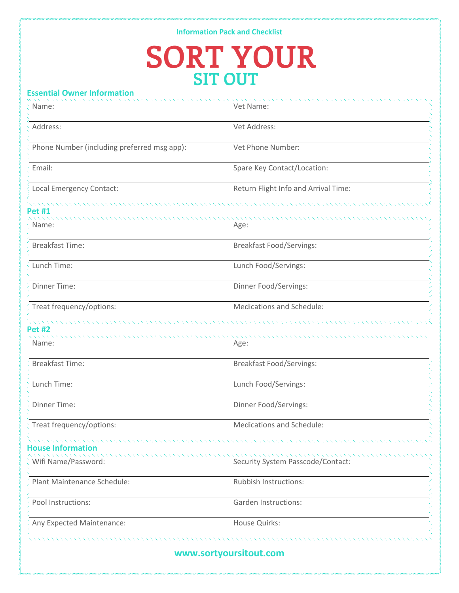## **Information Pack and Checklist SORT YOUR**

## **Essential Owner Information**

| Name:                                                 | Vet Name:                            |
|-------------------------------------------------------|--------------------------------------|
| Address:                                              | Vet Address:                         |
| Phone Number (including preferred msg app):           | Vet Phone Number:                    |
| Email:                                                | Spare Key Contact/Location:          |
| Local Emergency Contact:                              | Return Flight Info and Arrival Time: |
| Pet #1                                                |                                      |
| Name:                                                 | Age:                                 |
| <b>Breakfast Time:</b>                                | <b>Breakfast Food/Servings:</b>      |
| Lunch Time:                                           | Lunch Food/Servings:                 |
| Dinner Time:                                          | Dinner Food/Servings:                |
| Treat frequency/options:                              | Medications and Schedule:            |
| Pet #2                                                |                                      |
| Name:                                                 | Age:                                 |
| <b>Breakfast Time:</b>                                | <b>Breakfast Food/Servings:</b>      |
| Lunch Time:                                           | Lunch Food/Servings:                 |
| Dinner Time:                                          | Dinner Food/Servings:                |
| Treat frequency/options:                              | Medications and Schedule:            |
| ,,,,,,,,,,,,,,,,,,,,,,,,,<br><b>House Information</b> |                                      |
| Wifi Name/Password:                                   | Security System Passcode/Contact:    |
| Plant Maintenance Schedule:                           | Rubbish Instructions:                |
| Pool Instructions:                                    | <b>Garden Instructions:</b>          |
| Any Expected Maintenance:                             | House Quirks:                        |
|                                                       |                                      |
|                                                       | www.sortyoursitout.com               |
|                                                       |                                      |